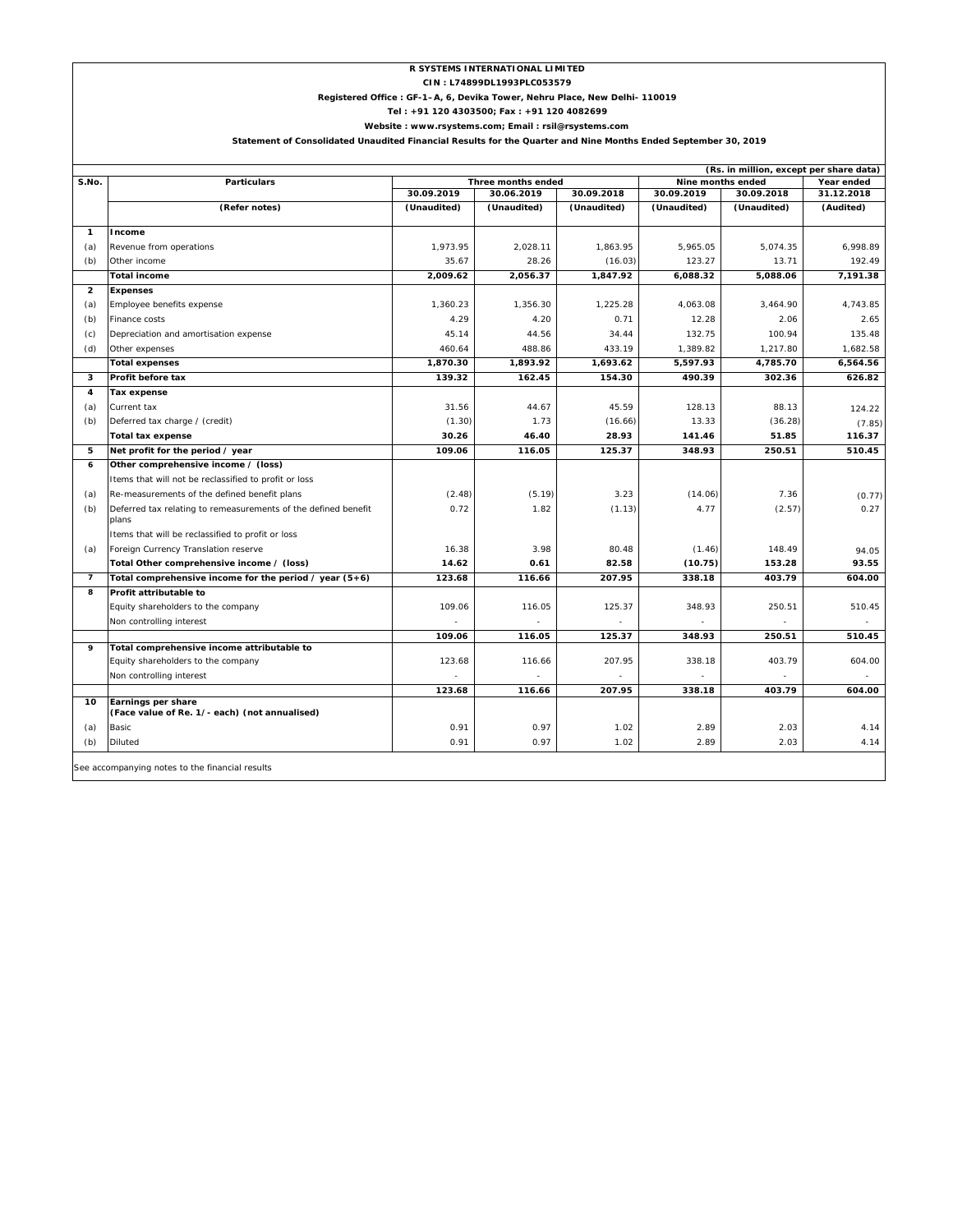## **R SYSTEMS INTERNATIONAL LIMITED**

**CIN : L74899DL1993PLC053579**

#### **Registered Office : GF-1–A, 6, Devika Tower, Nehru Place, New Delhi- 110019**

**Tel : +91 120 4303500; Fax : +91 120 4082699**

**Website : www.rsystems.com; Email : rsil@rsystems.com**

#### **Statement of Consolidated Unaudited Financial Results for the Quarter and Nine Months Ended September 30, 2019**

|                          |                                                                         |             | Three months ended |             | (Rs. in million, except per share data)<br>Nine months ended |             |                          |
|--------------------------|-------------------------------------------------------------------------|-------------|--------------------|-------------|--------------------------------------------------------------|-------------|--------------------------|
| S.No.                    | <b>Particulars</b>                                                      | 30.09.2019  | 30.06.2019         | 30.09.2018  | 30.09.2019                                                   | 30.09.2018  | Year ended<br>31.12.2018 |
|                          | (Refer notes)                                                           | (Unaudited) | (Unaudited)        | (Unaudited) | (Unaudited)                                                  | (Unaudited) | (Audited)                |
|                          |                                                                         |             |                    |             |                                                              |             |                          |
| $\mathbf{1}$             | Income                                                                  |             |                    |             |                                                              |             |                          |
| (a)                      | Revenue from operations                                                 | 1,973.95    | 2,028.11           | 1,863.95    | 5,965.05                                                     | 5,074.35    | 6,998.89                 |
| (b)                      | Other income                                                            | 35.67       | 28.26              | (16.03)     | 123.27                                                       | 13.71       | 192.49                   |
|                          | <b>Total income</b>                                                     | 2,009.62    | 2,056.37           | 1,847.92    | 6,088.32                                                     | 5,088.06    | 7,191.38                 |
| $\overline{\mathbf{2}}$  | <b>Expenses</b>                                                         |             |                    |             |                                                              |             |                          |
| (a)                      | Employee benefits expense                                               | 1,360.23    | 1,356.30           | 1,225.28    | 4,063.08                                                     | 3,464.90    | 4,743.85                 |
| (b)                      | Finance costs                                                           | 4.29        | 4.20               | 0.71        | 12.28                                                        | 2.06        | 2.65                     |
| (c)                      | Depreciation and amortisation expense                                   | 45.14       | 44.56              | 34.44       | 132.75                                                       | 100.94      | 135.48                   |
| (d)                      | Other expenses                                                          | 460.64      | 488.86             | 433.19      | 1,389.82                                                     | 1,217.80    | 1,682.58                 |
|                          | <b>Total expenses</b>                                                   | 1,870.30    | 1,893.92           | 1,693.62    | 5,597.93                                                     | 4,785.70    | 6,564.56                 |
| 3                        | Profit before tax                                                       | 139.32      | 162.45             | 154.30      | 490.39                                                       | 302.36      | 626.82                   |
| 4                        | Tax expense                                                             |             |                    |             |                                                              |             |                          |
| (a)                      | Current tax                                                             | 31.56       | 44.67              | 45.59       | 128.13                                                       | 88.13       | 124.22                   |
| (b)                      | Deferred tax charge / (credit)                                          | (1.30)      | 1.73               | (16.66)     | 13.33                                                        | (36.28)     | (7.85)                   |
|                          | <b>Total tax expense</b>                                                | 30.26       | 46.40              | 28.93       | 141.46                                                       | 51.85       | 116.37                   |
| 5                        | Net profit for the period / year                                        | 109.06      | 116.05             | 125.37      | 348.93                                                       | 250.51      | 510.45                   |
| 6                        | Other comprehensive income / (loss)                                     |             |                    |             |                                                              |             |                          |
|                          | Items that will not be reclassified to profit or loss                   |             |                    |             |                                                              |             |                          |
| (a)                      | Re-measurements of the defined benefit plans                            | (2.48)      | (5.19)             | 3.23        | (14.06)                                                      | 7.36        | (0.77)                   |
| (b)                      | Deferred tax relating to remeasurements of the defined benefit<br>plans | 0.72        | 1.82               | (1.13)      | 4.77                                                         | (2.57)      | 0.27                     |
|                          | Items that will be reclassified to profit or loss                       |             |                    |             |                                                              |             |                          |
| (a)                      | Foreign Currency Translation reserve                                    | 16.38       | 3.98               | 80.48       | (1.46)                                                       | 148.49      | 94.05                    |
|                          | Total Other comprehensive income / (loss)                               | 14.62       | 0.61               | 82.58       | (10.75)                                                      | 153.28      | 93.55                    |
| $\overline{\phantom{a}}$ | Total comprehensive income for the period / year $(5+6)$                | 123.68      | 116.66             | 207.95      | 338.18                                                       | 403.79      | 604.00                   |
| 8                        | Profit attributable to                                                  |             |                    |             |                                                              |             |                          |
|                          | Equity shareholders to the company                                      | 109.06      | 116.05             | 125.37      | 348.93                                                       | 250.51      | 510.45                   |
|                          | Non controlling interest                                                |             |                    |             |                                                              |             |                          |
|                          |                                                                         | 109.06      | 116.05             | 125.37      | 348.93                                                       | 250.51      | 510.45                   |
| 9                        | Total comprehensive income attributable to                              |             |                    |             |                                                              |             |                          |
|                          | Equity shareholders to the company                                      | 123.68      | 116.66             | 207.95      | 338.18                                                       | 403.79      | 604.00                   |
|                          | Non controlling interest                                                |             |                    |             |                                                              |             |                          |
|                          |                                                                         | 123.68      | 116.66             | 207.95      | 338.18                                                       | 403.79      | 604.00                   |
| 10                       | Earnings per share<br>(Face value of Re. 1/- each) (not annualised)     |             |                    |             |                                                              |             |                          |
| (a)                      | Basic                                                                   | 0.91        | 0.97               | 1.02        | 2.89                                                         | 2.03        | 4.14                     |
| (b)                      | Diluted                                                                 | 0.91        | 0.97               | 1.02        | 2.89                                                         | 2.03        | 4.14                     |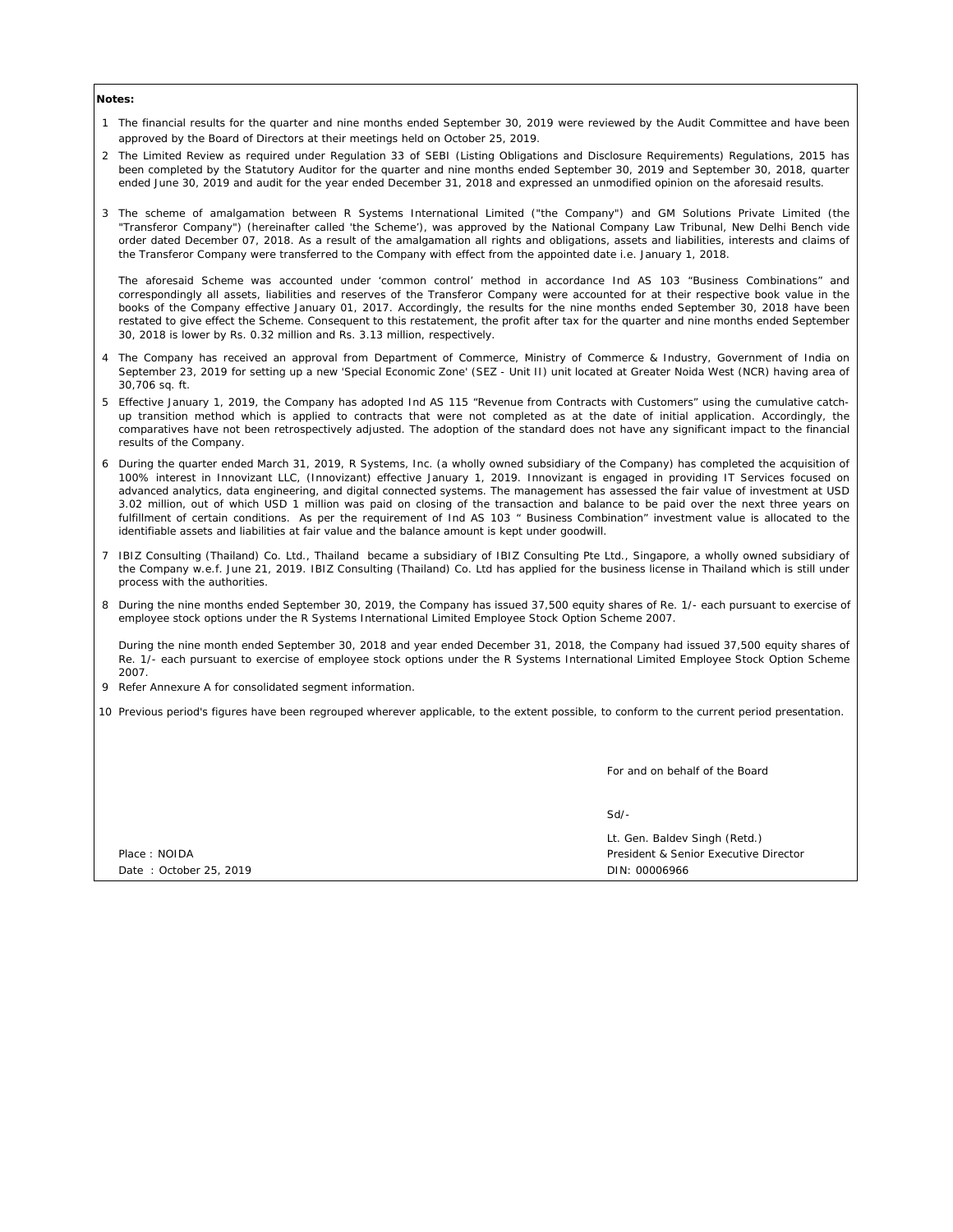#### **Notes:**

- 1 The financial results for the quarter and nine months ended September 30, 2019 were reviewed by the Audit Committee and have been approved by the Board of Directors at their meetings held on October 25, 2019.
- 2 The Limited Review as required under Regulation 33 of SEBI (Listing Obligations and Disclosure Requirements) Regulations, 2015 has been completed by the Statutory Auditor for the quarter and nine months ended September 30, 2019 and September 30, 2018, quarter ended June 30, 2019 and audit for the year ended December 31, 2018 and expressed an unmodified opinion on the aforesaid results.
- 3 The scheme of amalgamation between R Systems International Limited ("the Company") and GM Solutions Private Limited (the "Transferor Company") (hereinafter called 'the Scheme'), was approved by the National Company Law Tribunal, New Delhi Bench vide order dated December 07, 2018. As a result of the amalgamation all rights and obligations, assets and liabilities, interests and claims of the Transferor Company were transferred to the Company with effect from the appointed date i.e. January 1, 2018.

The aforesaid Scheme was accounted under 'common control' method in accordance Ind AS 103 "Business Combinations" and correspondingly all assets, liabilities and reserves of the Transferor Company were accounted for at their respective book value in the books of the Company effective January 01, 2017. Accordingly, the results for the nine months ended September 30, 2018 have been restated to give effect the Scheme. Consequent to this restatement, the profit after tax for the quarter and nine months ended September 30, 2018 is lower by Rs. 0.32 million and Rs. 3.13 million, respectively.

- 4 The Company has received an approval from Department of Commerce, Ministry of Commerce & Industry, Government of India on September 23, 2019 for setting up a new 'Special Economic Zone' (SEZ - Unit II) unit located at Greater Noida West (NCR) having area of 30,706 sq. ft.
- 5 Effective January 1, 2019, the Company has adopted Ind AS 115 "Revenue from Contracts with Customers" using the cumulative catchup transition method which is applied to contracts that were not completed as at the date of initial application. Accordingly, the comparatives have not been retrospectively adjusted. The adoption of the standard does not have any significant impact to the financial results of the Company.
- 6 During the quarter ended March 31, 2019, R Systems, Inc. (a wholly owned subsidiary of the Company) has completed the acquisition of 100% interest in Innovizant LLC, (Innovizant) effective January 1, 2019. Innovizant is engaged in providing IT Services focused on advanced analytics, data engineering, and digital connected systems. The management has assessed the fair value of investment at USD 3.02 million, out of which USD 1 million was paid on closing of the transaction and balance to be paid over the next three years on fulfillment of certain conditions. As per the requirement of Ind AS 103 " Business Combination" investment value is allocated to the identifiable assets and liabilities at fair value and the balance amount is kept under goodwill.
- 7 IBIZ Consulting (Thailand) Co. Ltd., Thailand became a subsidiary of IBIZ Consulting Pte Ltd., Singapore, a wholly owned subsidiary of the Company w.e.f. June 21, 2019. IBIZ Consulting (Thailand) Co. Ltd has applied for the business license in Thailand which is still under process with the authorities.
- 8 During the nine months ended September 30, 2019, the Company has issued 37,500 equity shares of Re. 1/- each pursuant to exercise of employee stock options under the R Systems International Limited Employee Stock Option Scheme 2007.

During the nine month ended September 30, 2018 and year ended December 31, 2018, the Company had issued 37,500 equity shares of Re. 1/- each pursuant to exercise of employee stock options under the R Systems International Limited Employee Stock Option Scheme 2007.

- 9 Refer Annexure A for consolidated segment information.
- 10 Previous period's figures have been regrouped wherever applicable, to the extent possible, to conform to the current period presentation.

For and on behalf of the Board

Sd/-

Lt. Gen. Baldev Singh (Retd.) Place : NOIDA President & Senior Executive Director Date : October 25, 2019 **Discussion Contract 2019** DIN: 00006966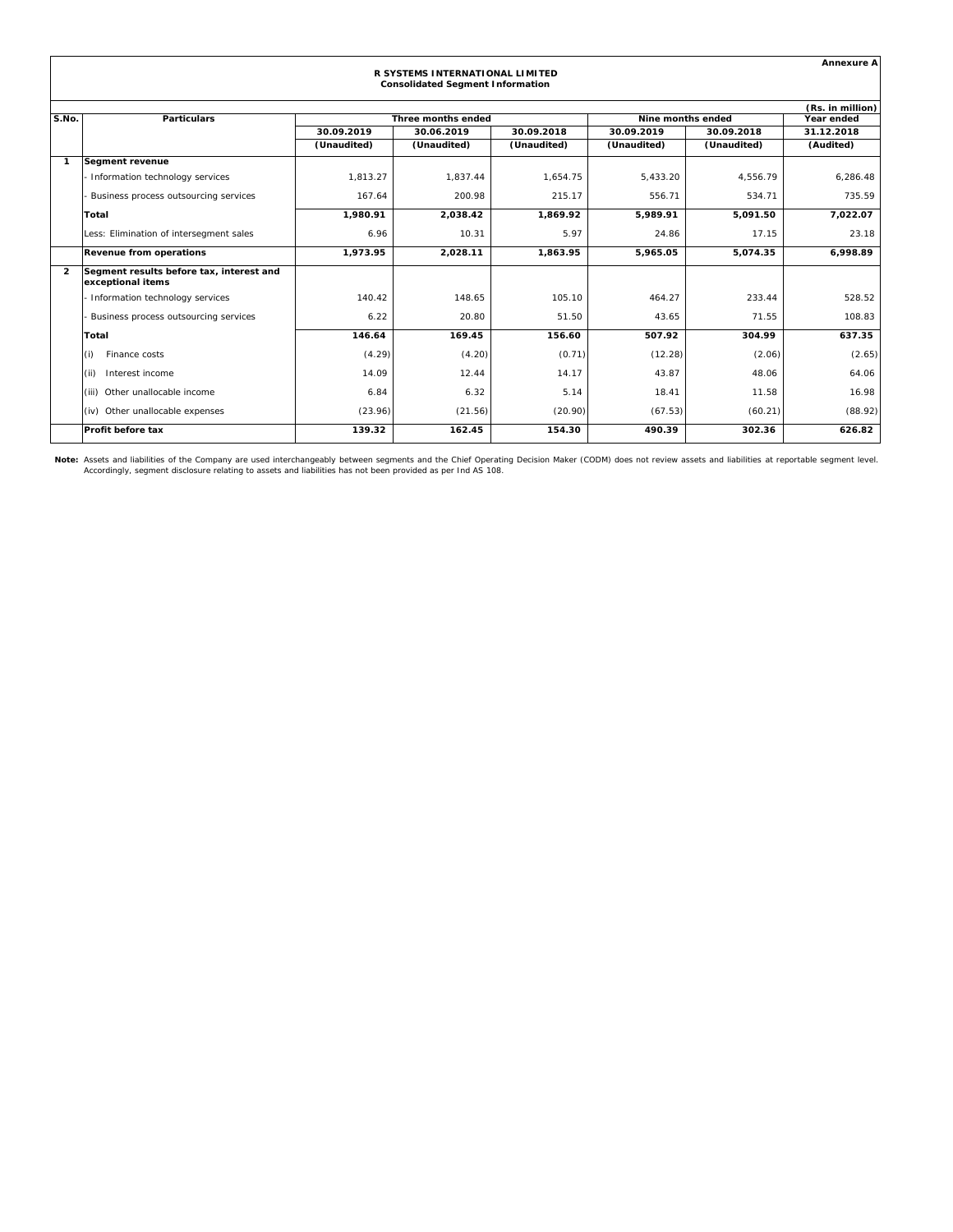|                | <b>Annexure A</b>                                             |                                                       |                                                                            |             |             |                       |                  |  |  |
|----------------|---------------------------------------------------------------|-------------------------------------------------------|----------------------------------------------------------------------------|-------------|-------------|-----------------------|------------------|--|--|
|                |                                                               |                                                       | R SYSTEMS INTERNATIONAL LIMITED<br><b>Consolidated Segment Information</b> |             |             |                       |                  |  |  |
|                |                                                               |                                                       |                                                                            |             |             |                       | (Rs. in million) |  |  |
| S.No.          | <b>Particulars</b>                                            | Three months ended<br>Nine months ended<br>Year ended |                                                                            |             |             |                       |                  |  |  |
|                |                                                               | 30.09.2019                                            | 30.06.2019                                                                 | 30.09.2018  | 30.09.2019  | 30.09.2018            | 31.12.2018       |  |  |
|                |                                                               | (Unaudited)                                           | (Unaudited)                                                                | (Unaudited) | (Unaudited) | (Unaudited)           | (Audited)        |  |  |
| -1             | <b>Segment revenue</b>                                        |                                                       |                                                                            |             |             |                       |                  |  |  |
|                | Information technology services                               | 1,813.27                                              | 1.837.44                                                                   | 1,654.75    | 5,433.20    | 4,556.79              | 6,286.48         |  |  |
|                | Business process outsourcing services                         | 167.64                                                | 200.98                                                                     | 215.17      | 556.71      | 534.71                | 735.59           |  |  |
|                | Total                                                         | 1,980.91                                              | 2,038.42                                                                   | 1,869.92    | 5.989.91    | 5,091.50              | 7,022.07         |  |  |
|                | Less: Elimination of intersegment sales                       | 6.96                                                  | 10.31                                                                      | 5.97        | 24.86       | 17.15                 | 23.18            |  |  |
|                | <b>Revenue from operations</b>                                | 1.973.95                                              | 2,028.11                                                                   | 1.863.95    | 5.965.05    | $\overline{5,074.35}$ | 6.998.89         |  |  |
| $\overline{2}$ | Segment results before tax, interest and<br>exceptional items |                                                       |                                                                            |             |             |                       |                  |  |  |
|                | Information technology services                               | 140.42                                                | 148.65                                                                     | 105.10      | 464.27      | 233.44                | 528.52           |  |  |
|                | Business process outsourcing services                         | 6.22                                                  | 20.80                                                                      | 51.50       | 43.65       | 71.55                 | 108.83           |  |  |
|                | Total                                                         | 146.64                                                | 169.45                                                                     | 156.60      | 507.92      | 304.99                | 637.35           |  |  |
|                | (i)<br>Finance costs                                          | (4.29)                                                | (4.20)                                                                     | (0.71)      | (12.28)     | (2.06)                | (2.65)           |  |  |
|                | Interest income<br>(ii)                                       | 14.09                                                 | 12.44                                                                      | 14.17       | 43.87       | 48.06                 | 64.06            |  |  |
|                | (iii) Other unallocable income                                | 6.84                                                  | 6.32                                                                       | 5.14        | 18.41       | 11.58                 | 16.98            |  |  |
|                | (iv) Other unallocable expenses                               | (23.96)                                               | (21.56)                                                                    | (20.90)     | (67.53)     | (60.21)               | (88.92)          |  |  |
|                | <b>Profit before tax</b>                                      | 139.32                                                | 162.45                                                                     | 154.30      | 490.39      | 302.36                | 626.82           |  |  |

Note: Assets and liabilities of the Company are used interchangeably between segments and the Chief Operating Decision Maker (CODM) does not review assets and liabilities at reportable segment level.<br>Accordingly, segment d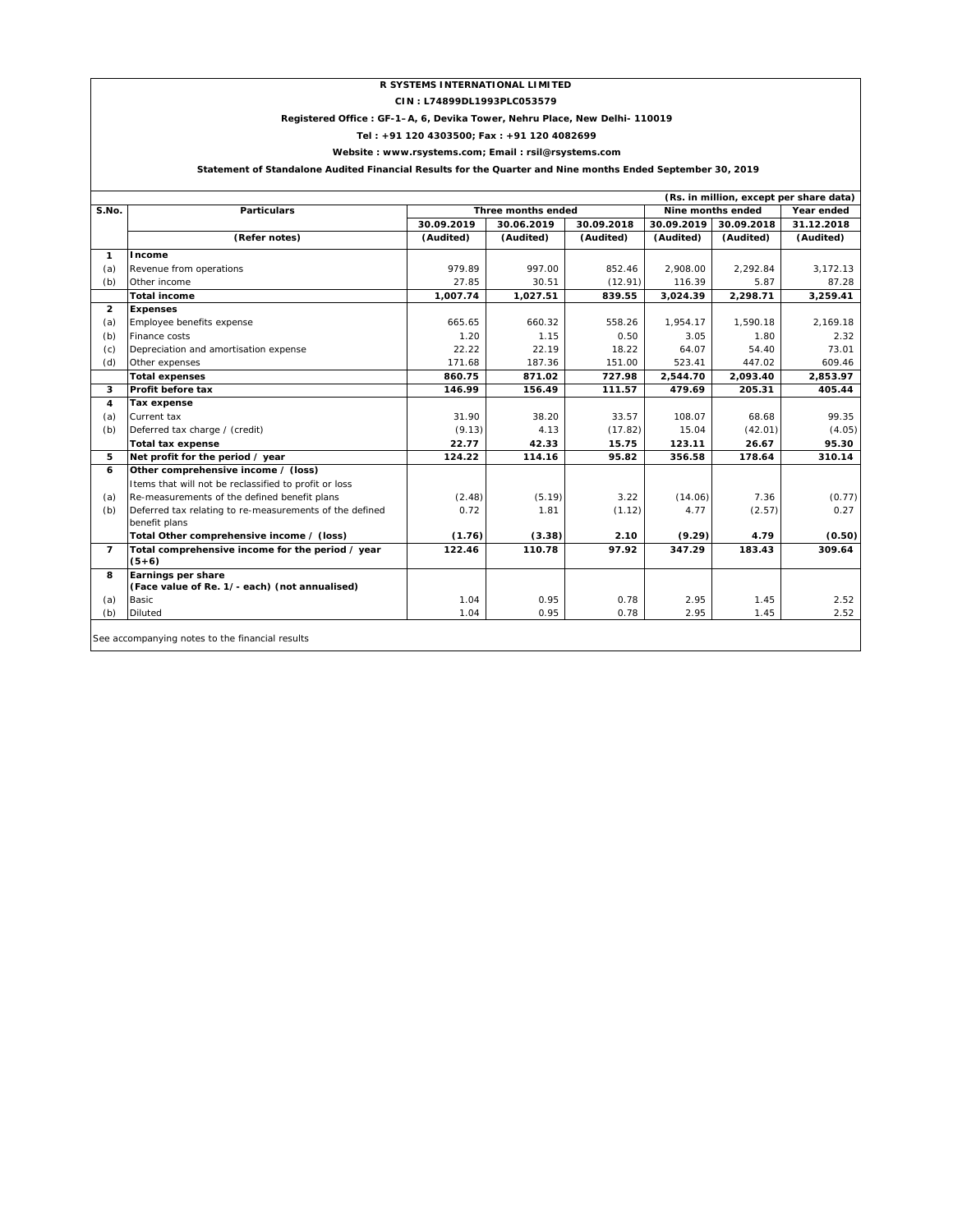## **R SYSTEMS INTERNATIONAL LIMITED**

**CIN : L74899DL1993PLC053579**

## **Registered Office : GF-1–A, 6, Devika Tower, Nehru Place, New Delhi- 110019**

**Tel : +91 120 4303500; Fax : +91 120 4082699**

## **Website : www.rsystems.com; Email : rsil@rsystems.com**

 **Statement of Standalone Audited Financial Results for the Quarter and Nine months Ended September 30, 2019**

| (Rs. in million, except per share data)<br>Three months ended |                                                         |            |            |                   |            |            |            |
|---------------------------------------------------------------|---------------------------------------------------------|------------|------------|-------------------|------------|------------|------------|
| S.No.                                                         | <b>Particulars</b>                                      |            |            | Nine months ended | Year ended |            |            |
|                                                               |                                                         | 30.09.2019 | 30.06.2019 | 30.09.2018        | 30.09.2019 | 30.09.2018 | 31.12.2018 |
|                                                               | (Refer notes)                                           | (Audited)  | (Audited)  | (Audited)         | (Audited)  | (Audited)  | (Audited)  |
| 1                                                             | Income                                                  |            |            |                   |            |            |            |
| (a)                                                           | Revenue from operations                                 | 979.89     | 997.00     | 852.46            | 2,908.00   | 2,292.84   | 3,172.13   |
| (b)                                                           | Other income                                            | 27.85      | 30.51      | (12.91)           | 116.39     | 5.87       | 87.28      |
|                                                               | <b>Total income</b>                                     | 1,007.74   | 1,027.51   | 839.55            | 3,024.39   | 2,298.71   | 3,259.41   |
| $\overline{2}$                                                | <b>Expenses</b>                                         |            |            |                   |            |            |            |
| (a)                                                           | Employee benefits expense                               | 665.65     | 660.32     | 558.26            | 1,954.17   | 1,590.18   | 2,169.18   |
| (b)                                                           | Finance costs                                           | 1.20       | 1.15       | 0.50              | 3.05       | 1.80       | 2.32       |
| (c)                                                           | Depreciation and amortisation expense                   | 22.22      | 22.19      | 18.22             | 64.07      | 54.40      | 73.01      |
| (d)                                                           | Other expenses                                          | 171.68     | 187.36     | 151.00            | 523.41     | 447.02     | 609.46     |
|                                                               | <b>Total expenses</b>                                   | 860.75     | 871.02     | 727.98            | 2,544.70   | 2,093.40   | 2,853.97   |
| 3                                                             | Profit before tax                                       | 146.99     | 156.49     | 111.57            | 479.69     | 205.31     | 405.44     |
| 4                                                             | <b>Tax expense</b>                                      |            |            |                   |            |            |            |
| (a)                                                           | Current tax                                             | 31.90      | 38.20      | 33.57             | 108.07     | 68.68      | 99.35      |
| (b)                                                           | Deferred tax charge / (credit)                          | (9.13)     | 4.13       | (17.82)           | 15.04      | (42.01)    | (4.05)     |
|                                                               | <b>Total tax expense</b>                                | 22.77      | 42.33      | 15.75             | 123.11     | 26.67      | 95.30      |
| 5                                                             | Net profit for the period / year                        | 124.22     | 114.16     | 95.82             | 356.58     | 178.64     | 310.14     |
| 6                                                             | Other comprehensive income / (loss)                     |            |            |                   |            |            |            |
|                                                               | Items that will not be reclassified to profit or loss   |            |            |                   |            |            |            |
| (a)                                                           | Re-measurements of the defined benefit plans            | (2.48)     | (5.19)     | 3.22              | (14.06)    | 7.36       | (0.77)     |
| (b)                                                           | Deferred tax relating to re-measurements of the defined | 0.72       | 1.81       | (1.12)            | 4.77       | (2.57)     | 0.27       |
|                                                               | benefit plans                                           |            |            |                   |            |            |            |
|                                                               | Total Other comprehensive income / (loss)               | (1.76)     | (3.38)     | 2.10              | (9.29)     | 4.79       | (0.50)     |
| $\overline{7}$                                                | Total comprehensive income for the period / year        | 122.46     | 110.78     | 97.92             | 347.29     | 183.43     | 309.64     |
|                                                               | $(5+6)$                                                 |            |            |                   |            |            |            |
| 8                                                             | Earnings per share                                      |            |            |                   |            |            |            |
|                                                               | (Face value of Re. 1/- each) (not annualised)           |            |            |                   |            |            |            |
| (a)                                                           | Basic                                                   | 1.04       | 0.95       | 0.78              | 2.95       | 1.45       | 2.52       |
| (b)                                                           | <b>Diluted</b>                                          | 1.04       | 0.95       | 0.78              | 2.95       | 1.45       | 2.52       |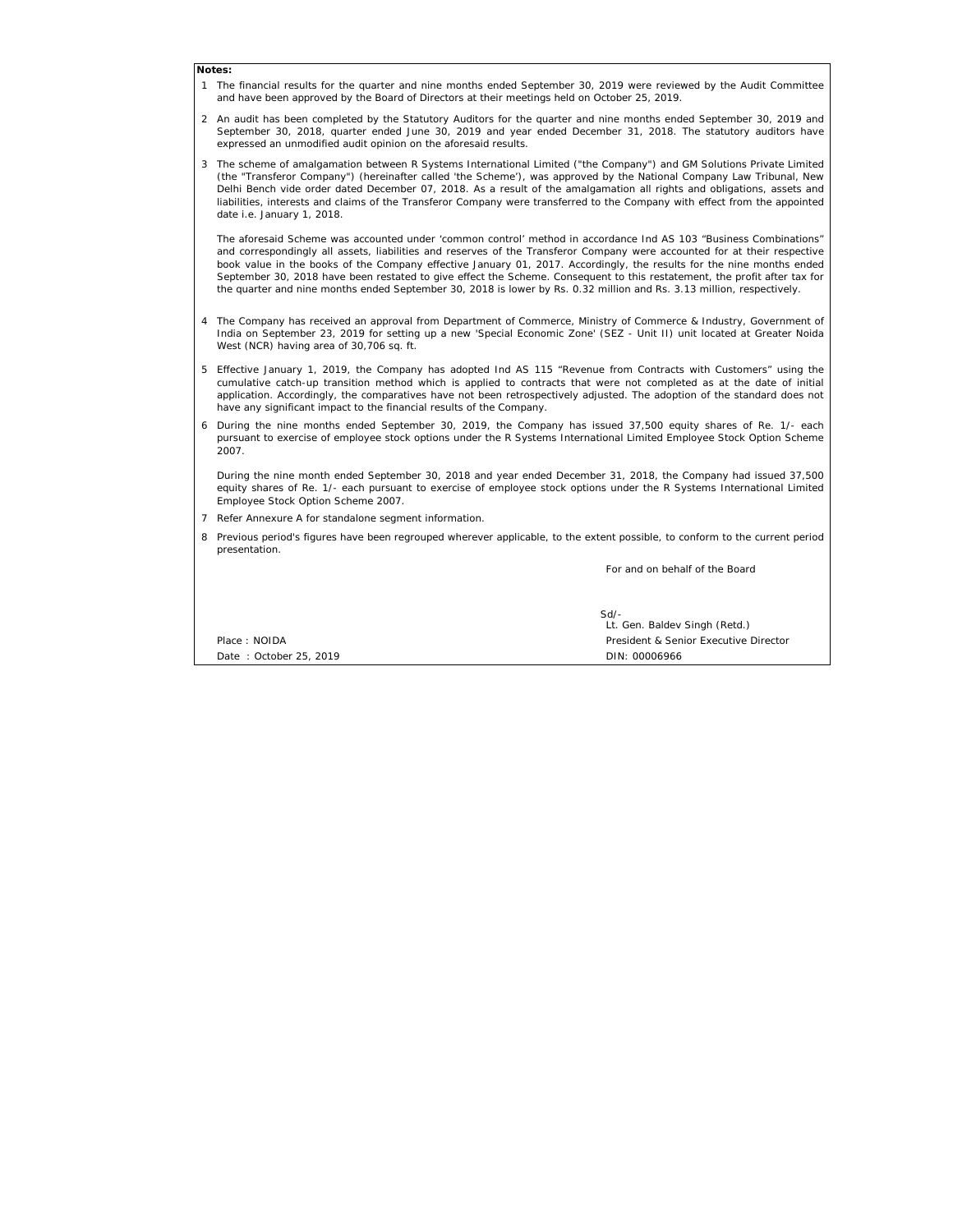#### **Notes:**

- 1 The financial results for the quarter and nine months ended September 30, 2019 were reviewed by the Audit Committee and have been approved by the Board of Directors at their meetings held on October 25, 2019.
- 2 An audit has been completed by the Statutory Auditors for the quarter and nine months ended September 30, 2019 and September 30, 2018, quarter ended June 30, 2019 and year ended December 31, 2018. The statutory auditors have expressed an unmodified audit opinion on the aforesaid results.
- 3 The scheme of amalgamation between R Systems International Limited ("the Company") and GM Solutions Private Limited (the "Transferor Company") (hereinafter called 'the Scheme'), was approved by the National Company Law Tribunal, New Delhi Bench vide order dated December 07, 2018. As a result of the amalgamation all rights and obligations, assets and liabilities, interests and claims of the Transferor Company were transferred to the Company with effect from the appointed date i.e. January 1, 2018.

The aforesaid Scheme was accounted under 'common control' method in accordance Ind AS 103 "Business Combinations" and correspondingly all assets, liabilities and reserves of the Transferor Company were accounted for at their respective book value in the books of the Company effective January 01, 2017. Accordingly, the results for the nine months ended September 30, 2018 have been restated to give effect the Scheme. Consequent to this restatement, the profit after tax for the quarter and nine months ended September 30, 2018 is lower by Rs. 0.32 million and Rs. 3.13 million, respectively.

- 4 The Company has received an approval from Department of Commerce, Ministry of Commerce & Industry, Government of India on September 23, 2019 for setting up a new 'Special Economic Zone' (SEZ - Unit II) unit located at Greater Noida West (NCR) having area of 30,706 sq. ft.
- 5 Effective January 1, 2019, the Company has adopted Ind AS 115 "Revenue from Contracts with Customers" using the cumulative catch-up transition method which is applied to contracts that were not completed as at the date of initial application. Accordingly, the comparatives have not been retrospectively adjusted. The adoption of the standard does not have any significant impact to the financial results of the Company.
- 6 During the nine months ended September 30, 2019, the Company has issued 37,500 equity shares of Re. 1/- each pursuant to exercise of employee stock options under the R Systems International Limited Employee Stock Option Scheme 2007.

During the nine month ended September 30, 2018 and year ended December 31, 2018, the Company had issued 37,500 equity shares of Re. 1/- each pursuant to exercise of employee stock options under the R Systems International Limited Employee Stock Option Scheme 2007.

- 7 Refer Annexure A for standalone segment information.
- 8 Previous period's figures have been regrouped wherever applicable, to the extent possible, to conform to the current period presentation.

For and on behalf of the Board

|                        | $Sd$ -                                |
|------------------------|---------------------------------------|
|                        | Lt. Gen. Baldev Singh (Retd.)         |
| Place: NOIDA           | President & Senior Executive Director |
| Date: October 25, 2019 | DIN: 00006966                         |